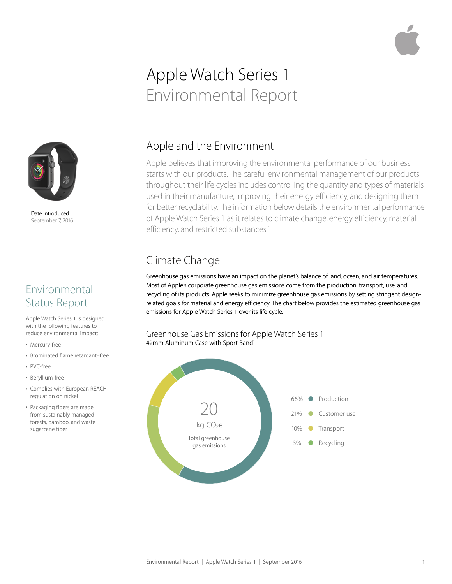# Apple Watch Series 1 Environmental Report



Date introduced September 7, 2016

### Environmental Status Report

Apple Watch Series 1 is designed with the following features to reduce environmental impact:

- Mercury-free
- Brominated flame retardant–free
- PVC-free
- Beryllium-free
- Complies with European REACH regulation on nickel
- Packaging fibers are made from sustainably managed forests, bamboo, and waste sugarcane fiber

#### Apple and the Environment

Apple believes that improving the environmental performance of our business starts with our products. The careful environmental management of our products throughout their life cycles includes controlling the quantity and types of materials used in their manufacture, improving their energy efficiency, and designing them for better recyclability. The information below details the environmental performance of Apple Watch Series 1 as it relates to climate change, energy efficiency, material efficiency, and restricted substances.<sup>1</sup>

# Climate Change

Greenhouse gas emissions have an impact on the planet's balance of land, ocean, and air temperatures. Most of Apple's corporate greenhouse gas emissions come from the production, transport, use, and recycling of its products. Apple seeks to minimize greenhouse gas emissions by setting stringent designrelated goals for material and energy efficiency. The chart below provides the estimated greenhouse gas emissions for Apple Watch Series 1 over its life cycle.

Greenhouse Gas Emissions for Apple Watch Series 1 42mm Aluminum Case with Sport Band<sup>1</sup>

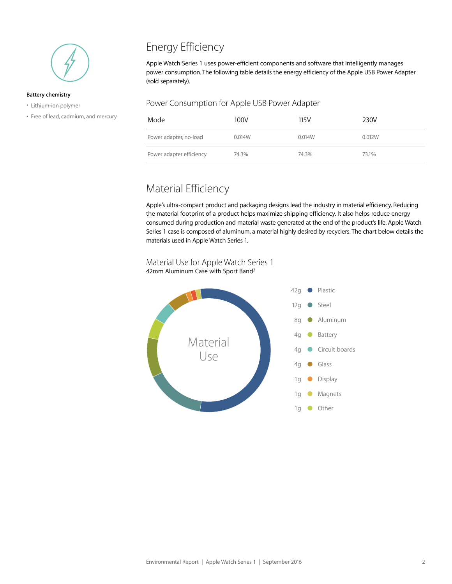

#### **Battery chemistry**

- Lithium-ion polymer
- Free of lead, cadmium, and mercury

## Energy Efficiency

Apple Watch Series 1 uses power-efficient components and software that intelligently manages power consumption. The following table details the energy efficiency of the Apple USB Power Adapter (sold separately).

#### Power Consumption for Apple USB Power Adapter

| Mode                     | 100V   | 115V   | 230V   |
|--------------------------|--------|--------|--------|
| Power adapter, no-load   | 0.014W | 0.014W | 0.012W |
| Power adapter efficiency | 74.3%  | 74.3%  | 73.1%  |

#### Material Efficiency

Apple's ultra-compact product and packaging designs lead the industry in material efficiency. Reducing the material footprint of a product helps maximize shipping efficiency. It also helps reduce energy consumed during production and material waste generated at the end of the product's life. Apple Watch Series 1 case is composed of aluminum, a material highly desired by recyclers. The chart below details the materials used in Apple Watch Series 1.

Material Use for Apple Watch Series 1 42mm Aluminum Case with Sport Band2

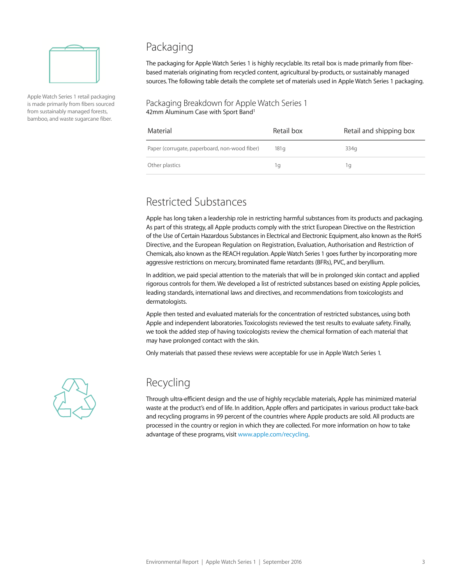

Apple Watch Series 1 retail packaging is made primarily from fibers sourced from sustainably managed forests, bamboo, and waste sugarcane fiber.

#### Packaging

The packaging for Apple Watch Series 1 is highly recyclable. Its retail box is made primarily from fiberbased materials originating from recycled content, agricultural by-products, or sustainably managed sources. The following table details the complete set of materials used in Apple Watch Series 1 packaging.

#### Packaging Breakdown for Apple Watch Series 1 42mm Aluminum Case with Sport Band<sup>1</sup>

| Material                                      | Retail box       | Retail and shipping box |
|-----------------------------------------------|------------------|-------------------------|
| Paper (corrugate, paperboard, non-wood fiber) | 181 <sub>q</sub> | 334g                    |
| Other plastics                                | Ίq               | Ίq                      |

### Restricted Substances

Apple has long taken a leadership role in restricting harmful substances from its products and packaging. As part of this strategy, all Apple products comply with the strict European Directive on the Restriction of the Use of Certain Hazardous Substances in Electrical and Electronic Equipment, also known as the RoHS Directive, and the European Regulation on Registration, Evaluation, Authorisation and Restriction of Chemicals, also known as the REACH regulation. Apple Watch Series 1 goes further by incorporating more aggressive restrictions on mercury, brominated flame retardants (BFRs), PVC, and beryllium.

In addition, we paid special attention to the materials that will be in prolonged skin contact and applied rigorous controls for them. We developed a list of restricted substances based on existing Apple policies, leading standards, international laws and directives, and recommendations from toxicologists and dermatologists.

Apple then tested and evaluated materials for the concentration of restricted substances, using both Apple and independent laboratories. Toxicologists reviewed the test results to evaluate safety. Finally, we took the added step of having toxicologists review the chemical formation of each material that may have prolonged contact with the skin.

Only materials that passed these reviews were acceptable for use in Apple Watch Series 1.



#### Recycling

Through ultra-efficient design and the use of highly recyclable materials, Apple has minimized material waste at the product's end of life. In addition, Apple offers and participates in various product take-back and recycling programs in 99 percent of the countries where Apple products are sold. All products are processed in the country or region in which they are collected. For more information on how to take advantage of these programs, visit [www.apple.com/recycling](http://www.apple.com/recycling).